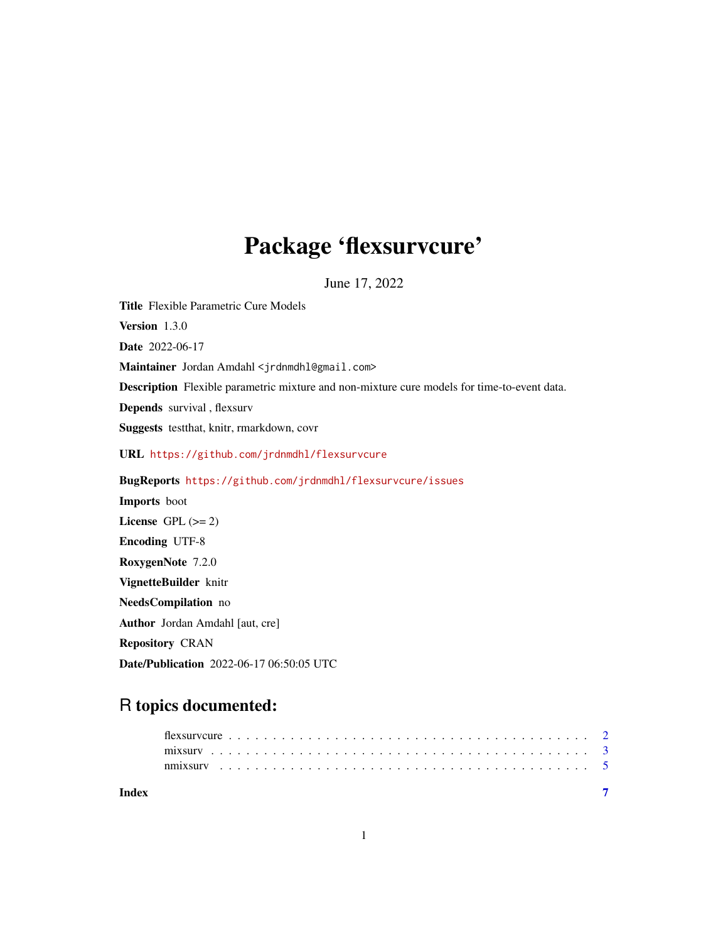## Package 'flexsurvcure'

June 17, 2022

<span id="page-0-0"></span>Title Flexible Parametric Cure Models Version 1.3.0 Date 2022-06-17 Maintainer Jordan Amdahl <jrdnmdhl@gmail.com> Description Flexible parametric mixture and non-mixture cure models for time-to-event data. Depends survival , flexsurv Suggests testthat, knitr, rmarkdown, covr URL <https://github.com/jrdnmdhl/flexsurvcure> BugReports <https://github.com/jrdnmdhl/flexsurvcure/issues> Imports boot License GPL  $(>= 2)$ Encoding UTF-8 RoxygenNote 7.2.0 VignetteBuilder knitr NeedsCompilation no Author Jordan Amdahl [aut, cre] Repository CRAN

Date/Publication 2022-06-17 06:50:05 UTC

### R topics documented:

| Index |  |  |  |  |  |  |  |  |  |  |  |  |  |  |  |  |  |
|-------|--|--|--|--|--|--|--|--|--|--|--|--|--|--|--|--|--|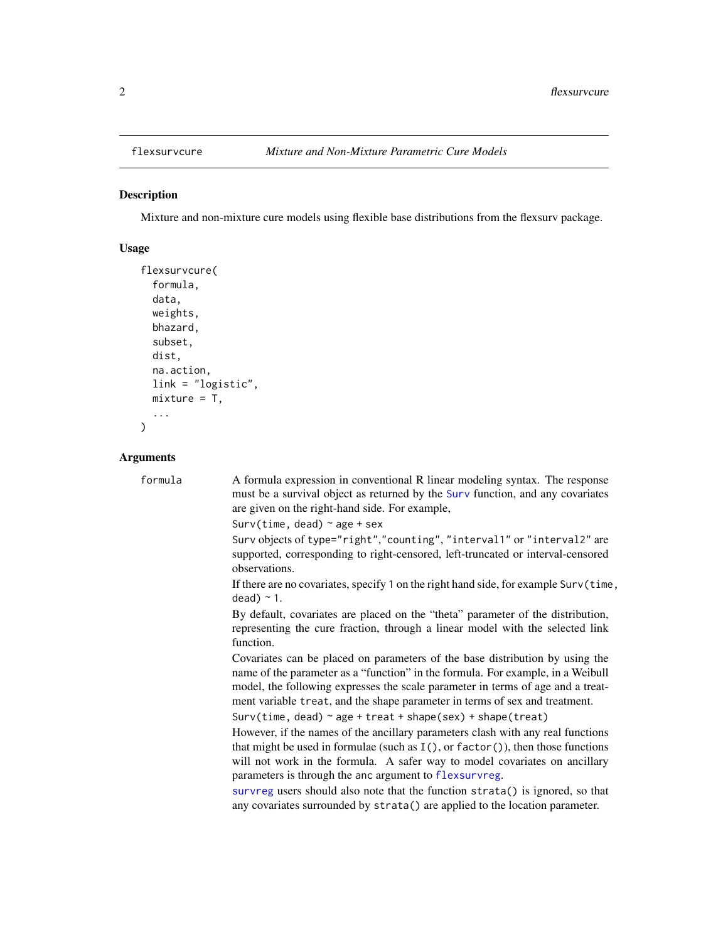<span id="page-1-0"></span>

#### **Description**

Mixture and non-mixture cure models using flexible base distributions from the flexsurv package.

#### Usage

```
flexsurvcure(
  formula,
  data,
  weights,
  bhazard,
  subset,
  dist,
  na.action,
  link = "logistic",
  mixture = T,
  ...
)
```
#### Arguments

formula A formula expression in conventional R linear modeling syntax. The response must be a survival object as returned by the [Surv](#page-0-0) function, and any covariates are given on the right-hand side. For example, Surv(time, dead)  $~\sim$  age + sex Surv objects of type="right","counting", "interval1" or "interval2" are supported, corresponding to right-censored, left-truncated or interval-censored observations. If there are no covariates, specify 1 on the right hand side, for example Surv(time, dead)  $~1$ . By default, covariates are placed on the "theta" parameter of the distribution, representing the cure fraction, through a linear model with the selected link function. Covariates can be placed on parameters of the base distribution by using the name of the parameter as a "function" in the formula. For example, in a Weibull model, the following expresses the scale parameter in terms of age and a treatment variable treat, and the shape parameter in terms of sex and treatment. Surv(time, dead)  $\sim$  age + treat + shape(sex) + shape(treat) However, if the names of the ancillary parameters clash with any real functions that might be used in formulae (such as  $I($ ), or factor()), then those functions will not work in the formula. A safer way to model covariates on ancillary parameters is through the anc argument to [flexsurvreg](#page-0-0). [survreg](#page-0-0) users should also note that the function strata() is ignored, so that any covariates surrounded by strata() are applied to the location parameter.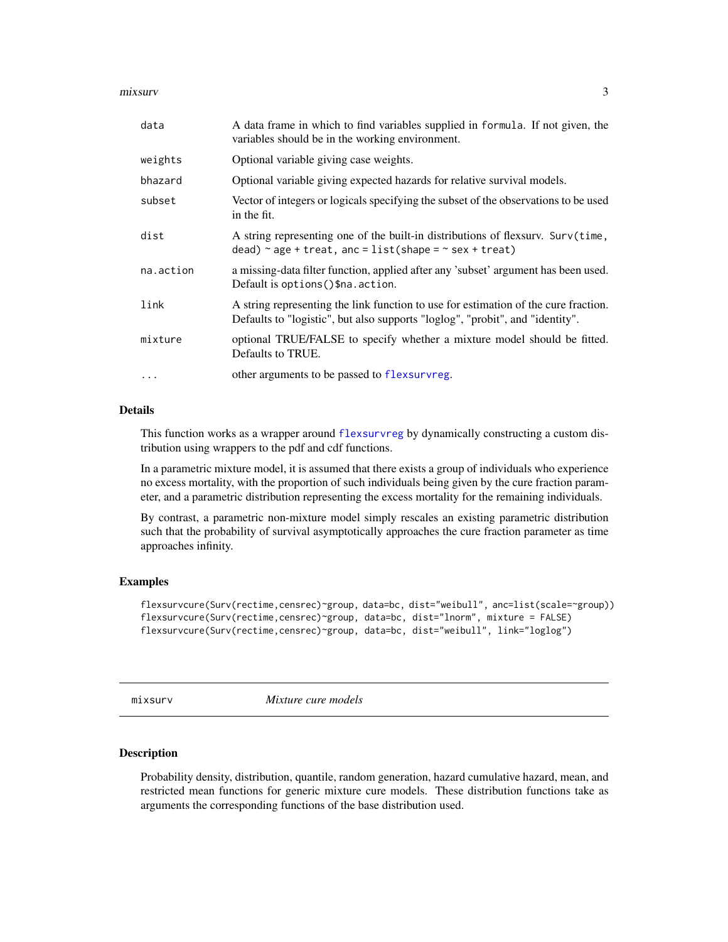<span id="page-2-0"></span>mixsurv 3

| data      | A data frame in which to find variables supplied in formula. If not given, the<br>variables should be in the working environment.                                    |
|-----------|----------------------------------------------------------------------------------------------------------------------------------------------------------------------|
| weights   | Optional variable giving case weights.                                                                                                                               |
| bhazard   | Optional variable giving expected hazards for relative survival models.                                                                                              |
| subset    | Vector of integers or logicals specifying the subset of the observations to be used<br>in the fit.                                                                   |
| dist      | A string representing one of the built-in distributions of flexsury. Surv(time,<br>dead) $\sim$ age + treat, anc = list(shape = $\sim$ sex + treat)                  |
| na.action | a missing-data filter function, applied after any 'subset' argument has been used.<br>Default is options () \$na. action.                                            |
| link      | A string representing the link function to use for estimation of the cure fraction.<br>Defaults to "logistic", but also supports "loglog", "probit", and "identity". |
| mixture   | optional TRUE/FALSE to specify whether a mixture model should be fitted.<br>Defaults to TRUE.                                                                        |
| $\ddots$  | other arguments to be passed to flexsurvreg.                                                                                                                         |

#### Details

This function works as a wrapper around [flexsurvreg](#page-0-0) by dynamically constructing a custom distribution using wrappers to the pdf and cdf functions.

In a parametric mixture model, it is assumed that there exists a group of individuals who experience no excess mortality, with the proportion of such individuals being given by the cure fraction parameter, and a parametric distribution representing the excess mortality for the remaining individuals.

By contrast, a parametric non-mixture model simply rescales an existing parametric distribution such that the probability of survival asymptotically approaches the cure fraction parameter as time approaches infinity.

#### Examples

```
flexsurvcure(Surv(rectime,censrec)~group, data=bc, dist="weibull", anc=list(scale=~group))
flexsurvcure(Surv(rectime,censrec)~group, data=bc, dist="lnorm", mixture = FALSE)
flexsurvcure(Surv(rectime,censrec)~group, data=bc, dist="weibull", link="loglog")
```
mixsurv *Mixture cure models*

#### Description

Probability density, distribution, quantile, random generation, hazard cumulative hazard, mean, and restricted mean functions for generic mixture cure models. These distribution functions take as arguments the corresponding functions of the base distribution used.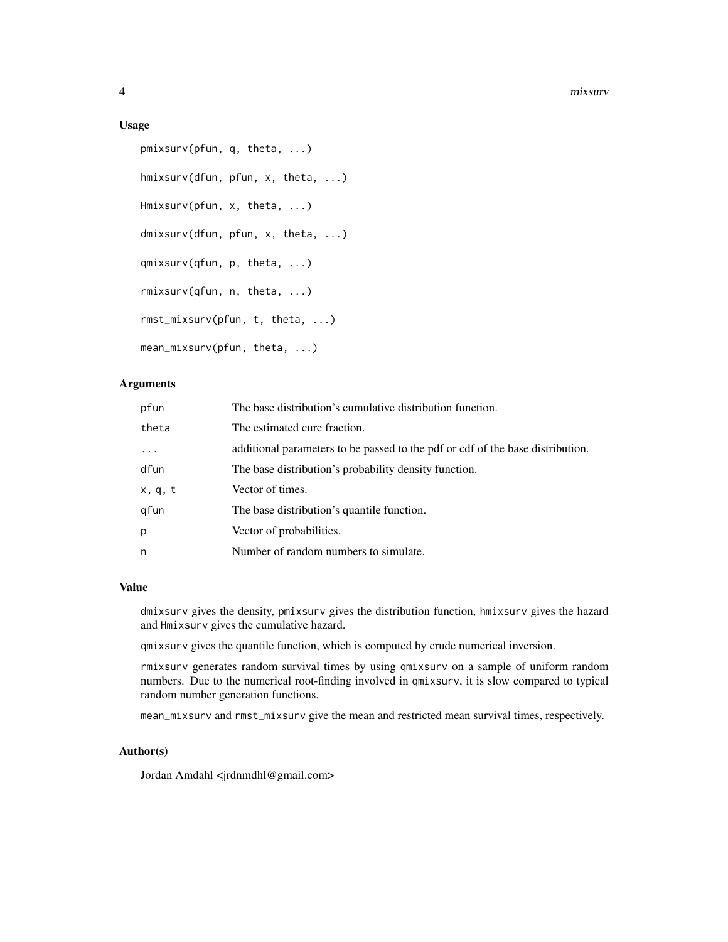#### Usage

```
pmixsurv(pfun, q, theta, ...)
hmixsurv(dfun, pfun, x, theta, ...)
Hmixsurv(pfun, x, theta, ...)
dmixsurv(dfun, pfun, x, theta, ...)
qmixsurv(qfun, p, theta, ...)
rmixsurv(qfun, n, theta, ...)
rmst_mixsurv(pfun, t, theta, ...)
mean_mixsurv(pfun, theta, ...)
```
#### Arguments

| pfun     | The base distribution's cumulative distribution function.                      |
|----------|--------------------------------------------------------------------------------|
| theta    | The estimated cure fraction.                                                   |
| $\cdots$ | additional parameters to be passed to the pdf or cdf of the base distribution. |
| dfun     | The base distribution's probability density function.                          |
| x, q, t  | Vector of times.                                                               |
| qfun     | The base distribution's quantile function.                                     |
| р        | Vector of probabilities.                                                       |
| n        | Number of random numbers to simulate.                                          |

#### Value

dmixsurv gives the density, pmixsurv gives the distribution function, hmixsurv gives the hazard and Hmixsurv gives the cumulative hazard.

qmixsurv gives the quantile function, which is computed by crude numerical inversion.

rmixsurv generates random survival times by using qmixsurv on a sample of uniform random numbers. Due to the numerical root-finding involved in qmixsurv, it is slow compared to typical random number generation functions.

mean\_mixsurv and rmst\_mixsurv give the mean and restricted mean survival times, respectively.

#### Author(s)

Jordan Amdahl <jrdnmdhl@gmail.com>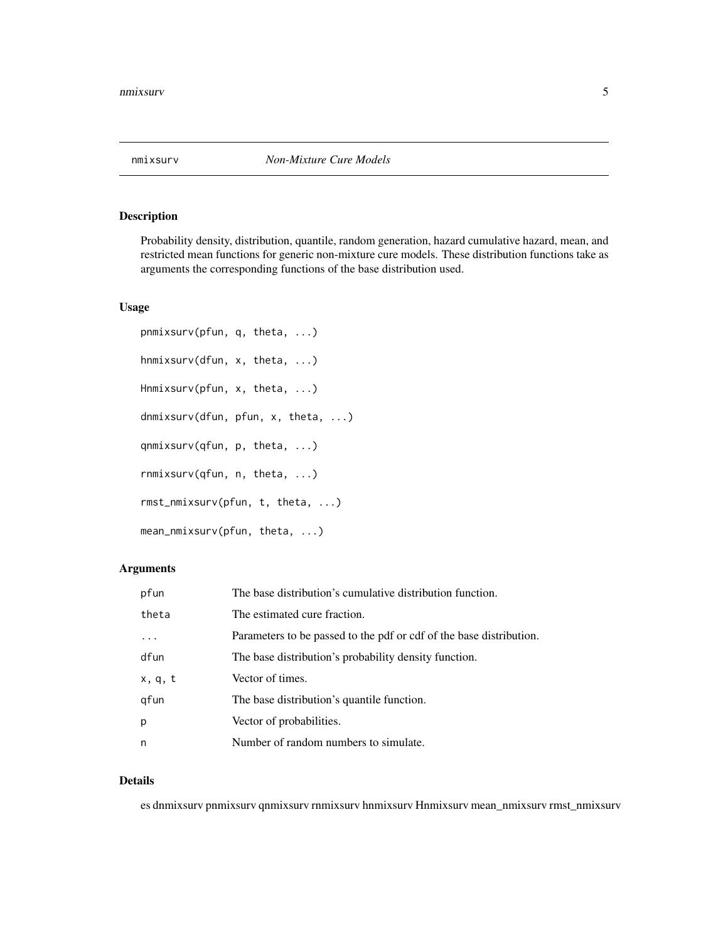<span id="page-4-0"></span>

#### Description

Probability density, distribution, quantile, random generation, hazard cumulative hazard, mean, and restricted mean functions for generic non-mixture cure models. These distribution functions take as arguments the corresponding functions of the base distribution used.

#### Usage

```
pnmixsurv(pfun, q, theta, ...)
hnmixsurv(dfun, x, theta, ...)
Hnmixsurv(pfun, x, theta, ...)
dnmixsurv(dfun, pfun, x, theta, ...)
qnmixsurv(qfun, p, theta, ...)
rnmixsurv(qfun, n, theta, ...)
rmst_nmixsurv(pfun, t, theta, ...)
mean_nmixsurv(pfun, theta, ...)
```
#### Arguments

| pfun    | The base distribution's cumulative distribution function.           |
|---------|---------------------------------------------------------------------|
| theta   | The estimated cure fraction.                                        |
|         | Parameters to be passed to the pdf or cdf of the base distribution. |
| dfun    | The base distribution's probability density function.               |
| x, q, t | Vector of times.                                                    |
| gfun    | The base distribution's quantile function.                          |
| p       | Vector of probabilities.                                            |
| n       | Number of random numbers to simulate.                               |

#### Details

es dnmixsurv pnmixsurv qnmixsurv rnmixsurv hnmixsurv Hnmixsurv mean\_nmixsurv rmst\_nmixsurv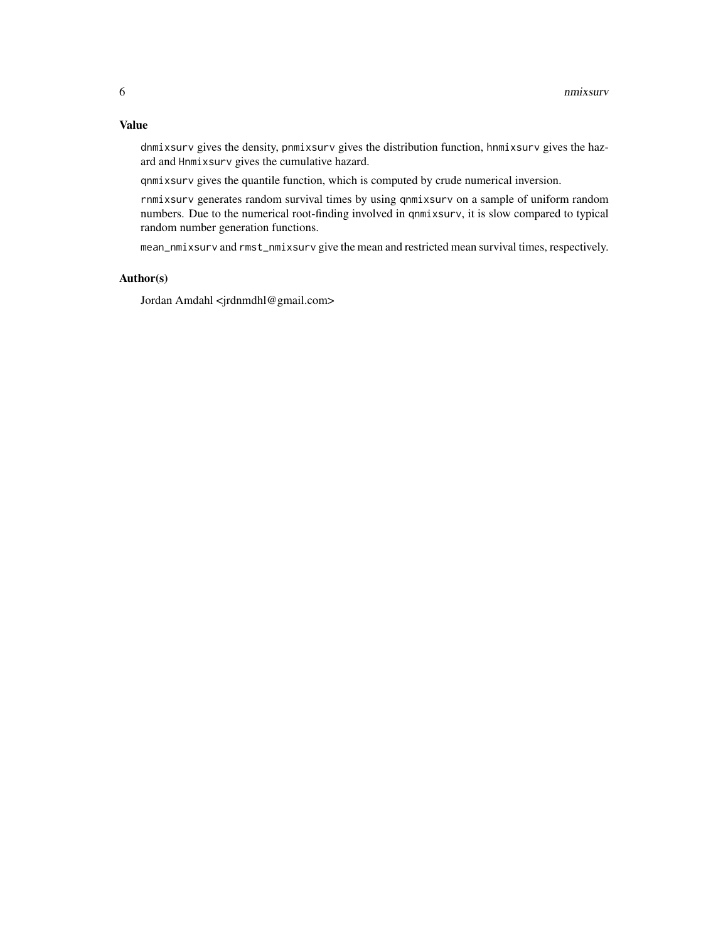#### Value

dnmixsurv gives the density, pnmixsurv gives the distribution function, hnmixsurv gives the hazard and Hnmixsurv gives the cumulative hazard.

qnmixsurv gives the quantile function, which is computed by crude numerical inversion.

rnmixsurv generates random survival times by using qnmixsurv on a sample of uniform random numbers. Due to the numerical root-finding involved in qnmixsurv, it is slow compared to typical random number generation functions.

mean\_nmixsurv and rmst\_nmixsurv give the mean and restricted mean survival times, respectively.

#### Author(s)

Jordan Amdahl <jrdnmdhl@gmail.com>